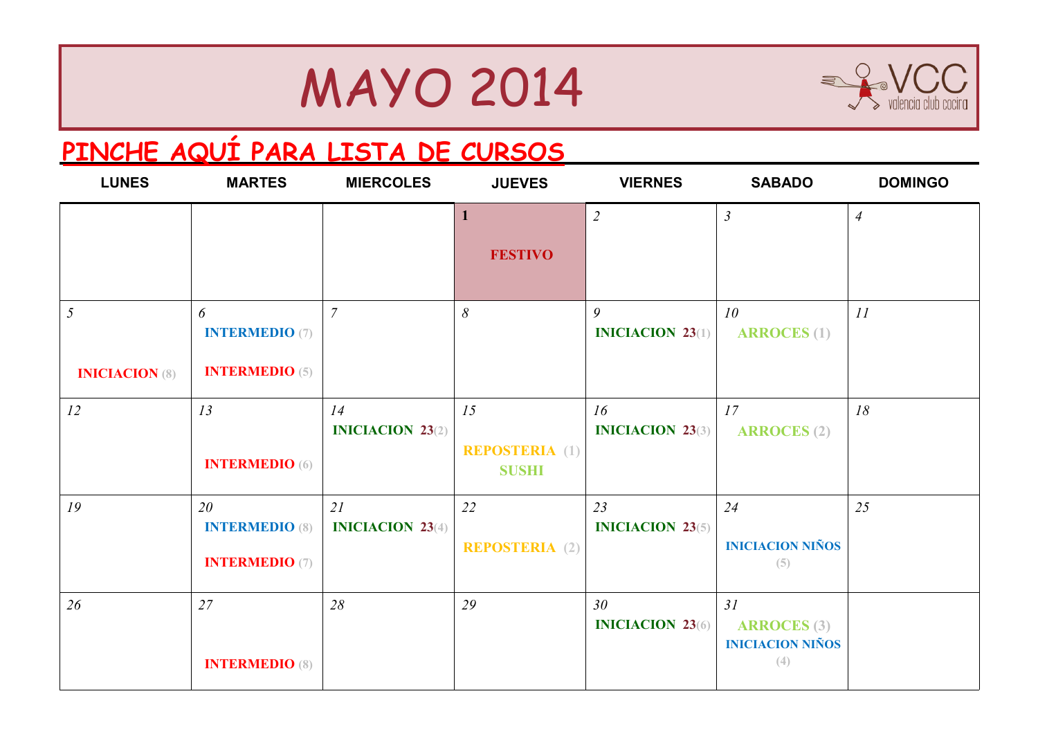### MAYO 2014



### **[PINCHE AQUÍ PARA LISTA DE CURSOS](http://www.valenciaclubcocina.com/es/wp-content/uploads/cursos-vcc-1T_2014_.pdf)**

| <b>LUNES</b>                            | <b>MARTES</b>                                        | <b>MIERCOLES</b>                 | <b>JUEVES</b>                               | <b>VIERNES</b>                             | <b>SABADO</b>                                              | <b>DOMINGO</b> |
|-----------------------------------------|------------------------------------------------------|----------------------------------|---------------------------------------------|--------------------------------------------|------------------------------------------------------------|----------------|
|                                         |                                                      |                                  | 1<br><b>FESTIVO</b>                         | $\overline{2}$                             | $\mathfrak{Z}$                                             | $\overline{4}$ |
| $\mathfrak{I}$<br><b>INICIACION (8)</b> | 6<br><b>INTERMEDIO</b> (7)<br><b>INTERMEDIO</b> (5)  | $\overline{7}$                   | 8                                           | 9<br><b>INICIACION 23(1)</b>               | 10<br><b>ARROCES</b> (1)                                   | II             |
| 12                                      | 13<br><b>INTERMEDIO</b> (6)                          | 14<br><b>INICIACION 23</b> $(2)$ | 15<br><b>REPOSTERIA</b> (1)<br><b>SUSHI</b> | 16<br><b>INICIACION 23(3)</b>              | 17<br><b>ARROCES</b> (2)                                   | 18             |
| 19                                      | 20<br><b>INTERMEDIO (8)</b><br><b>INTERMEDIO (7)</b> | 21<br><b>INICIACION 23(4)</b>    | 22<br><b>REPOSTERIA</b> (2)                 | 23<br><b>INICIACION 23(5)</b>              | 24<br><b>INICIACION NIÑOS</b><br>(5)                       | 25             |
| 26                                      | 27<br><b>INTERMEDIO (8)</b>                          | 28                               | 29                                          | 30 <sup>°</sup><br><b>INICIACION 23(6)</b> | 31<br><b>ARROCES</b> (3)<br><b>INICIACION NIÑOS</b><br>(4) |                |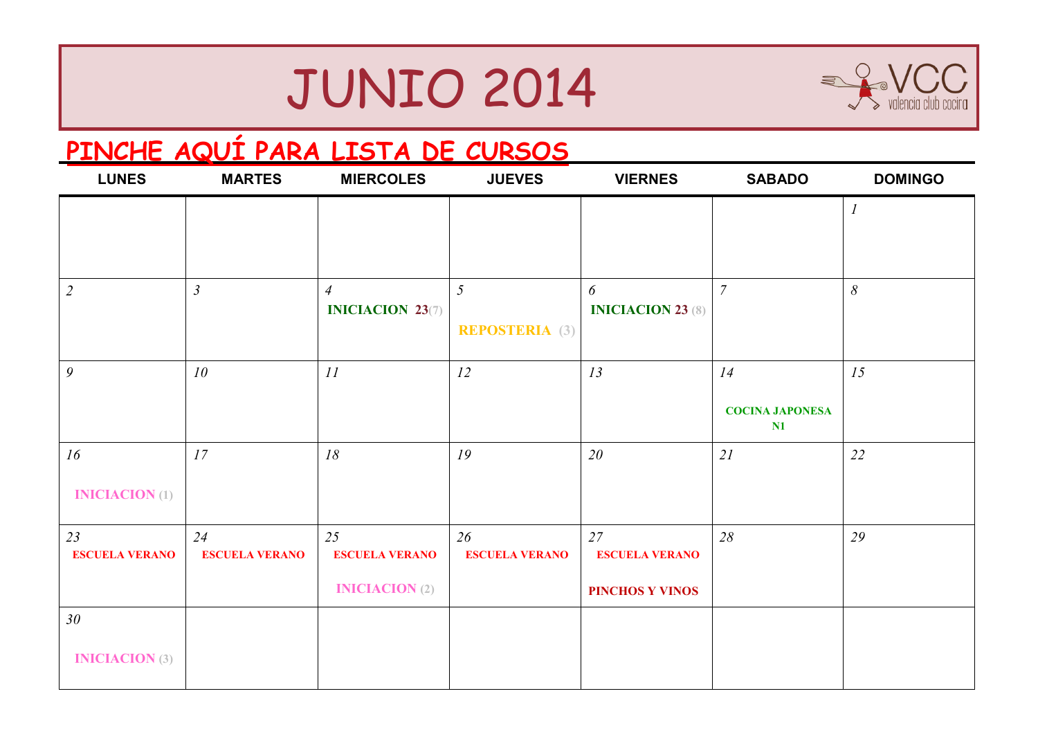# JUNIO 2014



#### **[PINCHE AQUÍ PARA LISTA DE CURSOS](http://www.valenciaclubcocina.com/es/wp-content/uploads/cursos-vcc-1T_2014_.pdf)**

| <b>LUNES</b>                | <b>MARTES</b>               | <b>MIERCOLES</b>            | <b>JUEVES</b>               | <b>VIERNES</b>              | <b>SABADO</b>                | <b>DOMINGO</b> |
|-----------------------------|-----------------------------|-----------------------------|-----------------------------|-----------------------------|------------------------------|----------------|
|                             |                             |                             |                             |                             |                              | $\overline{I}$ |
|                             |                             |                             |                             |                             |                              |                |
| $\overline{2}$              | $\mathfrak{Z}$              | $\overline{4}$              | $5\overline{)}$             | 6                           | $\overline{7}$               | $\delta$       |
|                             |                             | <b>INICIACION 23(7)</b>     | <b>REPOSTERIA</b> (3)       | <b>INICIACION 23 (8)</b>    |                              |                |
| 9                           | 10                          | II                          | 12                          | 13                          | 14                           | 15             |
|                             |                             |                             |                             |                             | <b>COCINA JAPONESA</b><br>N1 |                |
| 16                          | 17                          | 18                          | 19                          | 20                          | 2I                           | 22             |
| <b>INICIACION</b> (1)       |                             |                             |                             |                             |                              |                |
| 23<br><b>ESCUELA VERANO</b> | 24<br><b>ESCUELA VERANO</b> | 25<br><b>ESCUELA VERANO</b> | 26<br><b>ESCUELA VERANO</b> | 27<br><b>ESCUELA VERANO</b> | 28                           | 29             |
|                             |                             | <b>INICIACION</b> (2)       |                             | PINCHOS Y VINOS             |                              |                |
| 30 <sub>2</sub>             |                             |                             |                             |                             |                              |                |
| <b>INICIACION</b> (3)       |                             |                             |                             |                             |                              |                |